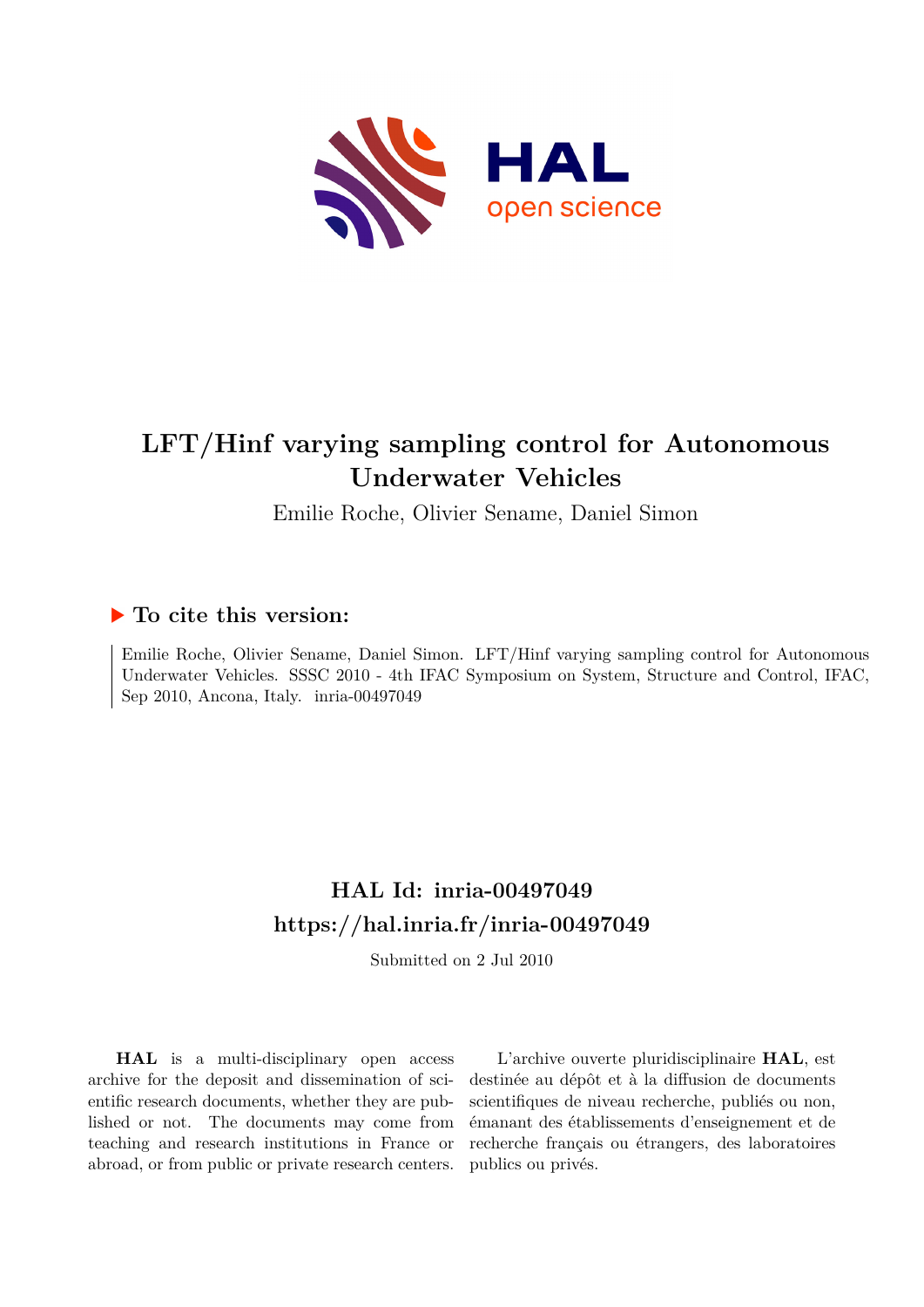

# **LFT/Hinf varying sampling control for Autonomous Underwater Vehicles**

Emilie Roche, Olivier Sename, Daniel Simon

## **To cite this version:**

Emilie Roche, Olivier Sename, Daniel Simon. LFT/Hinf varying sampling control for Autonomous Underwater Vehicles. SSSC 2010 - 4th IFAC Symposium on System, Structure and Control, IFAC, Sep 2010, Ancona, Italy. inria-00497049

## **HAL Id: inria-00497049 <https://hal.inria.fr/inria-00497049>**

Submitted on 2 Jul 2010

**HAL** is a multi-disciplinary open access archive for the deposit and dissemination of scientific research documents, whether they are published or not. The documents may come from teaching and research institutions in France or abroad, or from public or private research centers.

L'archive ouverte pluridisciplinaire **HAL**, est destinée au dépôt et à la diffusion de documents scientifiques de niveau recherche, publiés ou non, émanant des établissements d'enseignement et de recherche français ou étrangers, des laboratoires publics ou privés.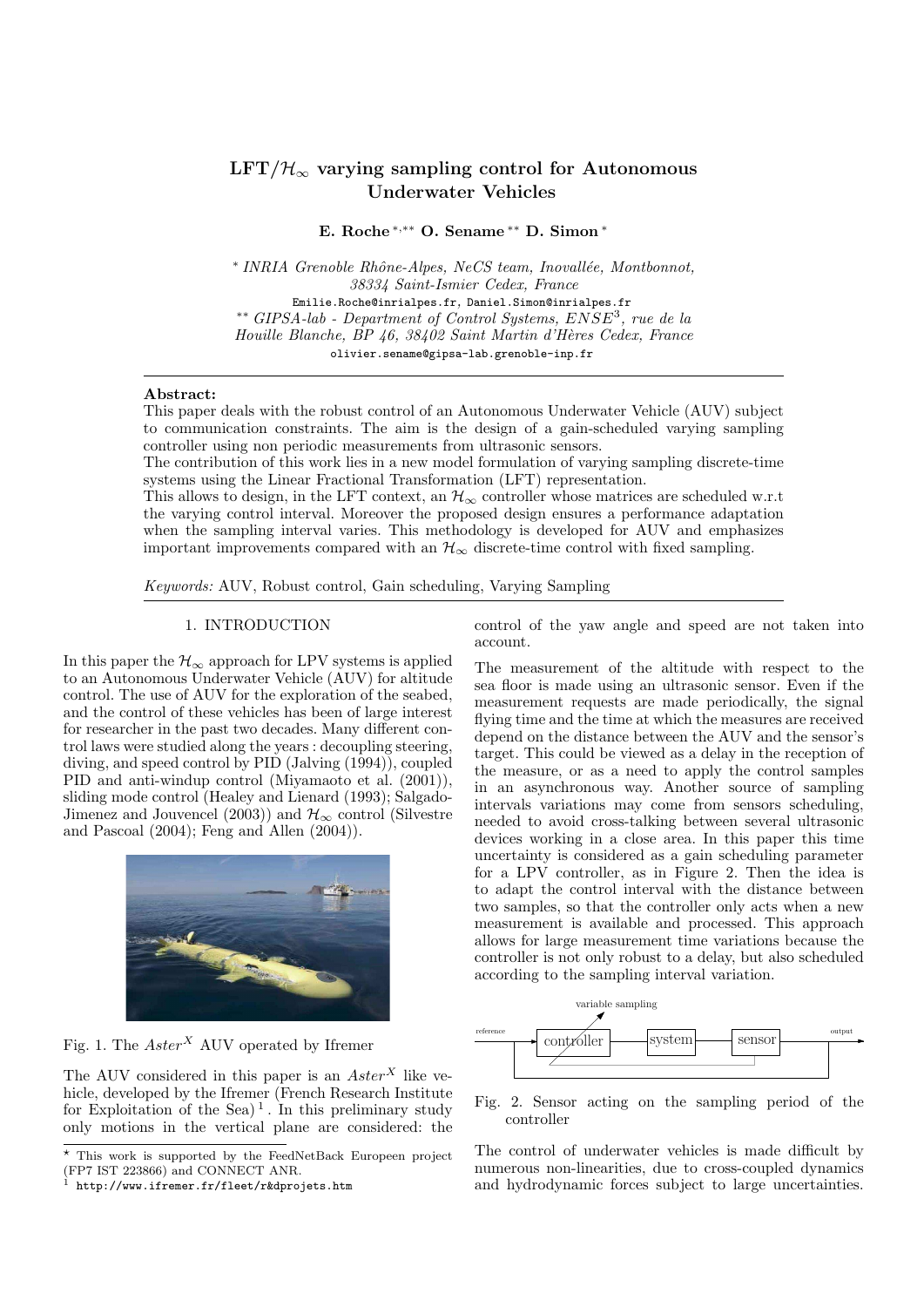## $LFT/\mathcal{H}_{\infty}$  varying sampling control for Autonomous Underwater Vehicles

E. Roche <sup>∗</sup>,∗∗ O. Sename ∗∗ D. Simon <sup>∗</sup>

\* INRIA Grenoble Rhône-Alpes, NeCS team, Inovallée, Montbonnot, 38334 Saint-Ismier Cedex, France Emilie.Roche@inrialpes.fr, Daniel.Simon@inrialpes.fr ∗∗ GIPSA-lab - Department of Control Systems, ENSE<sup>3</sup> , rue de la Houille Blanche, BP 46, 38402 Saint Martin d'Hères Cedex, France olivier.sename@gipsa-lab.grenoble-inp.fr

## Abstract:

This paper deals with the robust control of an Autonomous Underwater Vehicle (AUV) subject to communication constraints. The aim is the design of a gain-scheduled varying sampling controller using non periodic measurements from ultrasonic sensors.

The contribution of this work lies in a new model formulation of varying sampling discrete-time systems using the Linear Fractional Transformation (LFT) representation.

This allows to design, in the LFT context, an  $\mathcal{H}_{\infty}$  controller whose matrices are scheduled w.r.t the varying control interval. Moreover the proposed design ensures a performance adaptation when the sampling interval varies. This methodology is developed for AUV and emphasizes important improvements compared with an  $\mathcal{H}_{\infty}$  discrete-time control with fixed sampling.

Keywords: AUV, Robust control, Gain scheduling, Varying Sampling

## 1. INTRODUCTION

In this paper the  $\mathcal{H}_{\infty}$  approach for LPV systems is applied to an Autonomous Underwater Vehicle (AUV) for altitude control. The use of AUV for the exploration of the seabed, and the control of these vehicles has been of large interest for researcher in the past two decades. Many different control laws were studied along the years : decoupling steering, diving, and speed control by  $\overline{PID}$  (Jalving  $(1994)$ ), coupled PID and anti-windup control (Miyamaoto et al. (2001)), sliding mode control (Healey and Lienard (1993); Salgado-Jimenez and Jouvencel (2003)) and  $\mathcal{H}_{\infty}$  control (Silvestre and Pascoal (2004); Feng and Allen (2004)).



Fig. 1. The  $Aster^X$  AUV operated by Ifremer

The AUV considered in this paper is an  $Aster^X$  like vehicle, developed by the Ifremer (French Research Institute for Exploitation of the Sea)<sup>1</sup>. In this preliminary study only motions in the vertical plane are considered: the control of the yaw angle and speed are not taken into account.

The measurement of the altitude with respect to the sea floor is made using an ultrasonic sensor. Even if the measurement requests are made periodically, the signal flying time and the time at which the measures are received depend on the distance between the AUV and the sensor's target. This could be viewed as a delay in the reception of the measure, or as a need to apply the control samples in an asynchronous way. Another source of sampling intervals variations may come from sensors scheduling, needed to avoid cross-talking between several ultrasonic devices working in a close area. In this paper this time uncertainty is considered as a gain scheduling parameter for a LPV controller, as in Figure 2. Then the idea is to adapt the control interval with the distance between two samples, so that the controller only acts when a new measurement is available and processed. This approach allows for large measurement time variations because the controller is not only robust to a delay, but also scheduled according to the sampling interval variation.



Fig. 2. Sensor acting on the sampling period of the controller

The control of underwater vehicles is made difficult by numerous non-linearities, due to cross-coupled dynamics and hydrodynamic forces subject to large uncertainties.

 $\overline{\star}$  This work is supported by the FeedNetBack Europeen project (FP7 IST 223866) and CONNECT ANR.

<sup>1</sup> http://www.ifremer.fr/fleet/r&dprojets.htm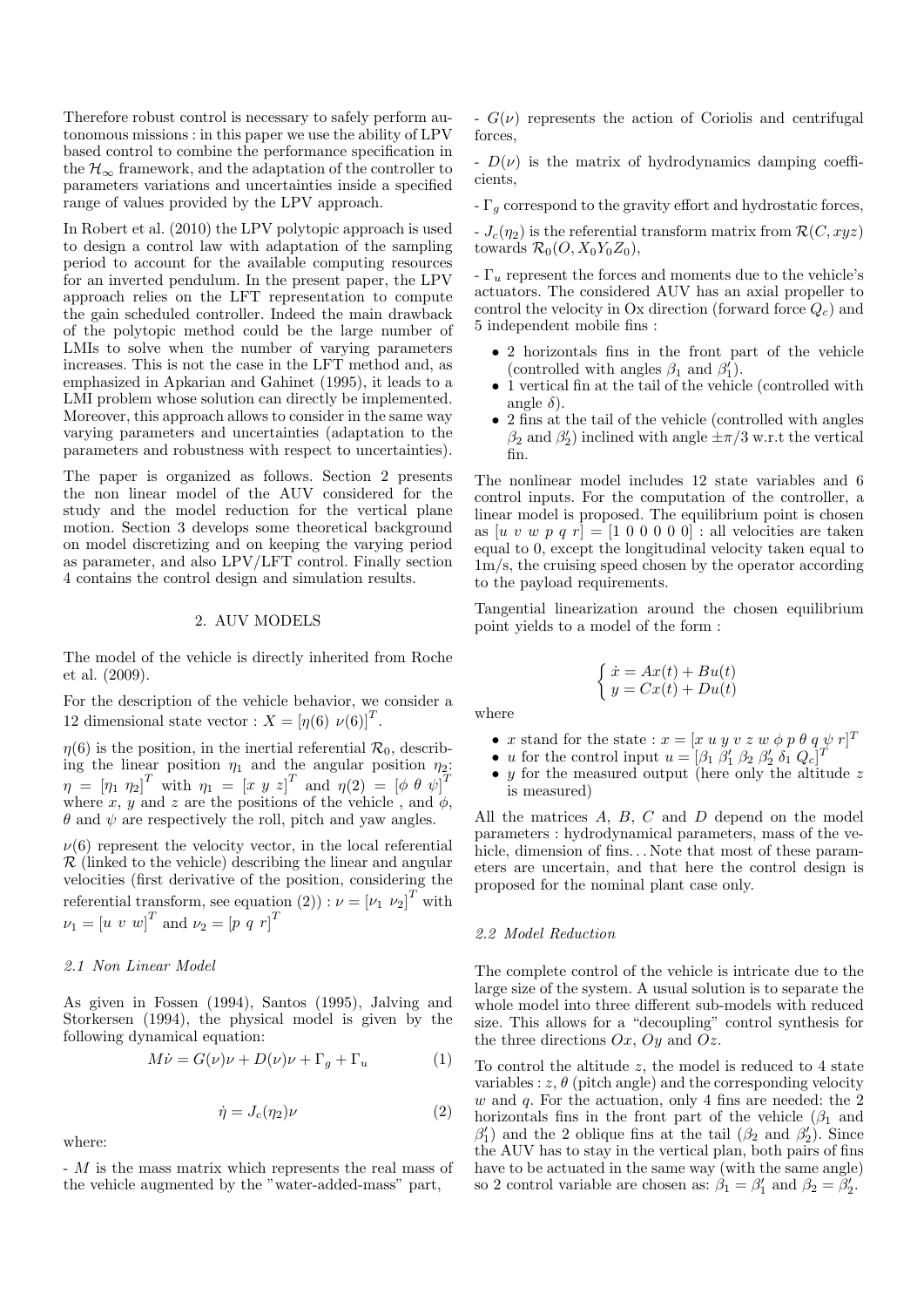Therefore robust control is necessary to safely perform autonomous missions : in this paper we use the ability of LPV based control to combine the performance specification in the  $\mathcal{H}_{\infty}$  framework, and the adaptation of the controller to parameters variations and uncertainties inside a specified range of values provided by the LPV approach.

In Robert et al. (2010) the LPV polytopic approach is used to design a control law with adaptation of the sampling period to account for the available computing resources for an inverted pendulum. In the present paper, the LPV approach relies on the LFT representation to compute the gain scheduled controller. Indeed the main drawback of the polytopic method could be the large number of LMIs to solve when the number of varying parameters increases. This is not the case in the LFT method and, as emphasized in Apkarian and Gahinet (1995), it leads to a LMI problem whose solution can directly be implemented. Moreover, this approach allows to consider in the same way varying parameters and uncertainties (adaptation to the parameters and robustness with respect to uncertainties).

The paper is organized as follows. Section 2 presents the non linear model of the AUV considered for the study and the model reduction for the vertical plane motion. Section 3 develops some theoretical background on model discretizing and on keeping the varying period as parameter, and also LPV/LFT control. Finally section 4 contains the control design and simulation results.

## 2. AUV MODELS

The model of the vehicle is directly inherited from Roche et al. (2009).

For the description of the vehicle behavior, we consider a 12 dimensional state vector :  $X = [\eta(6) \nu(6)]^T$ .

 $\eta(6)$  is the position, in the inertial referential  $\mathcal{R}_0$ , describing the linear position  $\eta_1$  and the angular position  $\eta_2$ :  $\eta \; = \; \left[ \eta_{1} \; \eta_{2} \right]^{T} \; \mathrm{with} \; \; \eta_{1} \; = \; \left[ x \; y \; z \right]^{T} \; \mathrm{and} \; \; \eta(2) \; = \; \left[ \phi \; \theta \; \psi \right]^{T}$ where x, y and z are the positions of the vehicle, and  $\phi$ ,  $\theta$  and  $\psi$  are respectively the roll, pitch and yaw angles.

 $\nu(6)$  represent the velocity vector, in the local referential  $\mathcal R$  (linked to the vehicle) describing the linear and angular velocities (first derivative of the position, considering the referential transform, see equation (2)) :  $\nu = [\nu_1 \ \nu_2]^T$  with  $\nu_1 = [u \, v \, w]^T$  and  $\nu_2 = [p \, q \, r]^T$ 

#### 2.1 Non Linear Model

As given in Fossen (1994), Santos (1995), Jalving and Storkersen (1994), the physical model is given by the following dynamical equation:

$$
M\dot{\nu} = G(\nu)\nu + D(\nu)\nu + \Gamma_g + \Gamma_u \tag{1}
$$

$$
\dot{\eta} = J_c(\eta_2)\nu\tag{2}
$$

where:

- M is the mass matrix which represents the real mass of the vehicle augmented by the "water-added-mass" part,

 $-G(\nu)$  represents the action of Coriolis and centrifugal forces,

 $-D(\nu)$  is the matrix of hydrodynamics damping coefficients,

 $-\Gamma_g$  correspond to the gravity effort and hydrostatic forces,

 $-J_c(\eta_2)$  is the referential transform matrix from  $\mathcal{R}(C, xyz)$ towards  $\mathcal{R}_0(O, X_0Y_0Z_0)$ ,

 $-\Gamma_u$  represent the forces and moments due to the vehicle's actuators. The considered AUV has an axial propeller to control the velocity in Ox direction (forward force  $Q_c$ ) and 5 independent mobile fins :

- 2 horizontals fins in the front part of the vehicle (controlled with angles  $\beta_1$  and  $\beta'_1$ ).
- 1 vertical fin at the tail of the vehicle (controlled with angle  $\delta$ ).
- 2 fins at the tail of the vehicle (controlled with angles  $\beta_2$  and  $\beta_2'$  inclined with angle  $\pm \pi/3$  w.r.t the vertical fin.

The nonlinear model includes 12 state variables and 6 control inputs. For the computation of the controller, a linear model is proposed. The equilibrium point is chosen as  $[u v w p q r] = [1 0 0 0 0 0]$ : all velocities are taken equal to 0, except the longitudinal velocity taken equal to 1m/s, the cruising speed chosen by the operator according to the payload requirements.

Tangential linearization around the chosen equilibrium point yields to a model of the form :

$$
\begin{cases} \dot{x} = Ax(t) + Bu(t) \\ y = Cx(t) + Du(t) \end{cases}
$$

where

- x stand for the state :  $x = [x \ u \ y \ v \ z \ w \ \phi \ p \ \theta \ q \ \psi \ r]^T$
- *u* for the control input  $u = [\beta_1 \ \beta'_1 \ \beta_2 \ \beta'_2 \ \delta_1 \ Q_c]^T$
- y for the measured output (here only the altitude z is measured)

All the matrices  $A, B, C$  and  $D$  depend on the model parameters : hydrodynamical parameters, mass of the vehicle, dimension of fins... Note that most of these parameters are uncertain, and that here the control design is proposed for the nominal plant case only.

#### 2.2 Model Reduction

The complete control of the vehicle is intricate due to the large size of the system. A usual solution is to separate the whole model into three different sub-models with reduced size. This allows for a "decoupling" control synthesis for the three directions  $Ox$ ,  $Oy$  and  $Oz$ .

To control the altitude z, the model is reduced to 4 state variables :  $z, \theta$  (pitch angle) and the corresponding velocity  $w$  and  $q$ . For the actuation, only 4 fins are needed: the 2 horizontals fins in the front part of the vehicle  $(\beta_1$  and  $\beta_1'$  and the 2 oblique fins at the tail  $(\beta_2 \text{ and } \beta_2')$ . Since the AUV has to stay in the vertical plan, both pairs of fins have to be actuated in the same way (with the same angle) so 2 control variable are chosen as:  $\hat{\beta}_1 = \beta'_1$  and  $\beta_2 = \tilde{\beta}'_2$ .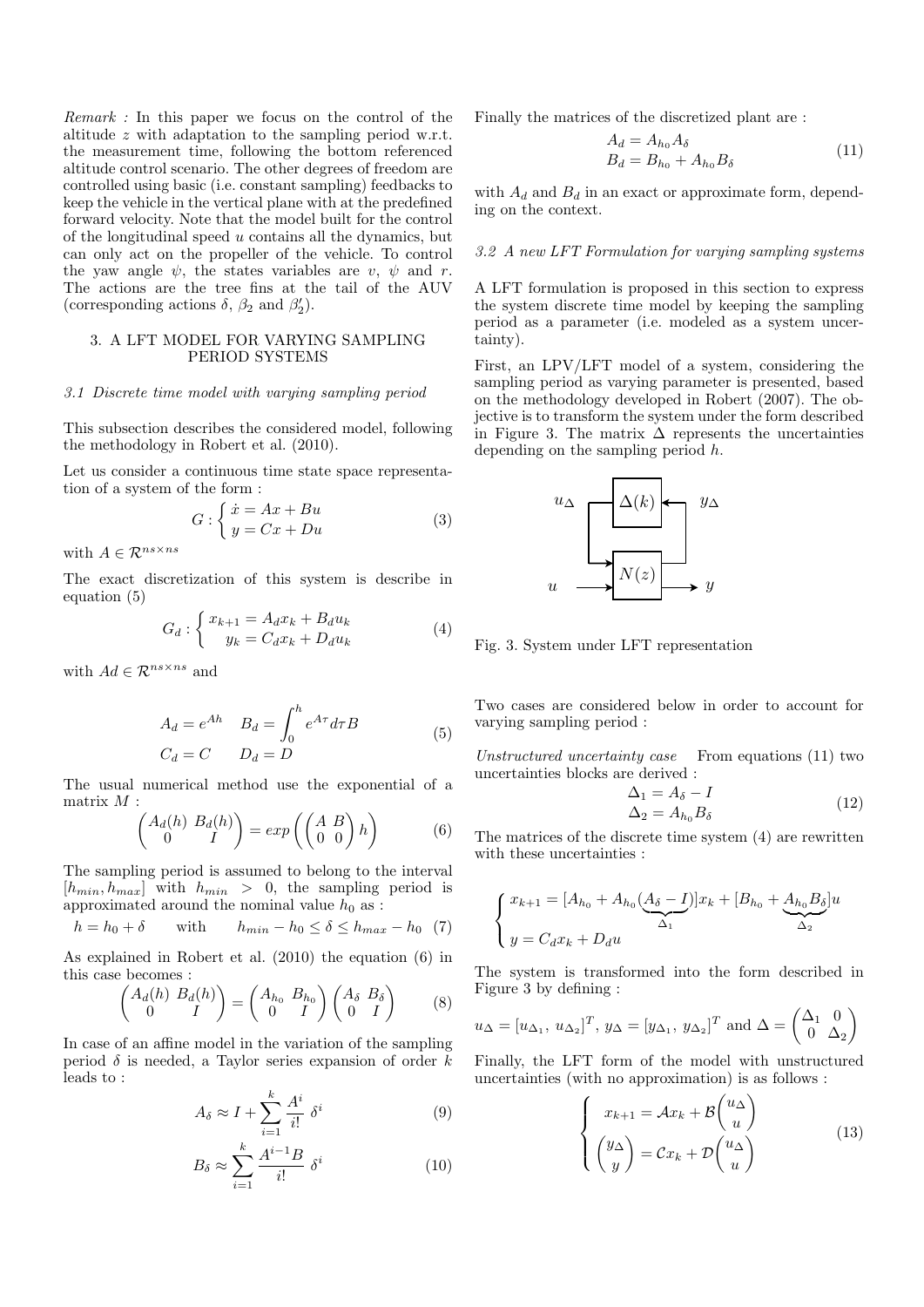Remark : In this paper we focus on the control of the altitude z with adaptation to the sampling period w.r.t. the measurement time, following the bottom referenced altitude control scenario. The other degrees of freedom are controlled using basic (i.e. constant sampling) feedbacks to keep the vehicle in the vertical plane with at the predefined forward velocity. Note that the model built for the control of the longitudinal speed  $u$  contains all the dynamics, but can only act on the propeller of the vehicle. To control the yaw angle  $\psi$ , the states variables are v,  $\psi$  and r. The actions are the tree fins at the tail of the AUV (corresponding actions  $\delta$ ,  $\beta_2$  and  $\beta_2'$ ).

## 3. A LFT MODEL FOR VARYING SAMPLING PERIOD SYSTEMS

#### 3.1 Discrete time model with varying sampling period

This subsection describes the considered model, following the methodology in Robert et al. (2010).

Let us consider a continuous time state space representation of a system of the form :

$$
G: \begin{cases} \dot{x} = Ax + Bu \\ y = Cx + Du \end{cases} \tag{3}
$$

with  $A \in \mathcal{R}^{ns \times ns}$ 

The exact discretization of this system is describe in equation (5)

$$
G_d: \begin{cases} x_{k+1} = A_d x_k + B_d u_k \\ y_k = C_d x_k + D_d u_k \end{cases} \tag{4}
$$

with  $Ad \in \mathcal{R}^{ns \times ns}$  and

$$
A_d = e^{Ah} \t B_d = \int_0^h e^{A\tau} d\tau B
$$
  
\n
$$
C_d = C \t D_d = D
$$
\n(5)

The usual numerical method use the exponential of a matrix  $M$  :

$$
\begin{pmatrix} A_d(h) & B_d(h) \\ 0 & I \end{pmatrix} = \exp\left(\begin{pmatrix} A & B \\ 0 & 0 \end{pmatrix} h\right) \tag{6}
$$

The sampling period is assumed to belong to the interval  $[h_{min}, h_{max}]$  with  $h_{min} > 0$ , the sampling period is approximated around the nominal value  $h_0$  as :

$$
h = h_0 + \delta \qquad \text{with} \qquad h_{min} - h_0 \le \delta \le h_{max} - h_0 \tag{7}
$$

As explained in Robert et al. (2010) the equation (6) in this case becomes :

$$
\begin{pmatrix} A_d(h) & B_d(h) \\ 0 & I \end{pmatrix} = \begin{pmatrix} A_{h_0} & B_{h_0} \\ 0 & I \end{pmatrix} \begin{pmatrix} A_{\delta} & B_{\delta} \\ 0 & I \end{pmatrix} \tag{8}
$$

In case of an affine model in the variation of the sampling period  $\delta$  is needed, a Taylor series expansion of order k leads to :

$$
A_{\delta} \approx I + \sum_{i=1}^{k} \frac{A^{i}}{i!} \delta^{i}
$$
 (9)

$$
B_{\delta} \approx \sum_{i=1}^{k} \frac{A^{i-1}B}{i!} \delta^{i}
$$
 (10)

Finally the matrices of the discretized plant are :

$$
A_d = A_{h_0} A_\delta
$$
  
\n
$$
B_d = B_{h_0} + A_{h_0} B_\delta
$$
\n(11)

with  $A_d$  and  $B_d$  in an exact or approximate form, depending on the context.

#### 3.2 A new LFT Formulation for varying sampling systems

A LFT formulation is proposed in this section to express the system discrete time model by keeping the sampling period as a parameter (i.e. modeled as a system uncertainty).

First, an LPV/LFT model of a system, considering the sampling period as varying parameter is presented, based on the methodology developed in Robert (2007). The objective is to transform the system under the form described in Figure 3. The matrix  $\Delta$  represents the uncertainties depending on the sampling period h.



Fig. 3. System under LFT representation

Two cases are considered below in order to account for varying sampling period :

Unstructured uncertainty case From equations (11) two uncertainties blocks are derived :

$$
\Delta_1 = A_{\delta} - I
$$
  
\n
$$
\Delta_2 = A_{h_0} B_{\delta}
$$
\n(12)

The matrices of the discrete time system (4) are rewritten with these uncertainties :

$$
\begin{cases} x_{k+1} = [A_{h_0} + A_{h_0}(\underbrace{A_{\delta} - I})]x_k + [B_{h_0} + \underbrace{A_{h_0}B_{\delta}}]u \\ y = C_d x_k + D_d u \end{cases}
$$

The system is transformed into the form described in Figure 3 by defining :

$$
u_{\Delta} = [u_{\Delta_1}, u_{\Delta_2}]^T
$$
,  $y_{\Delta} = [y_{\Delta_1}, y_{\Delta_2}]^T$  and  $\Delta = \begin{pmatrix} \Delta_1 & 0 \\ 0 & \Delta_2 \end{pmatrix}$ 

Finally, the LFT form of the model with unstructured uncertainties (with no approximation) is as follows :

$$
\begin{cases}\nx_{k+1} = Ax_k + \mathcal{B}\begin{pmatrix} u_\Delta \\ u \end{pmatrix} \\
\begin{pmatrix} y_\Delta \\ y \end{pmatrix} = Cx_k + \mathcal{D}\begin{pmatrix} u_\Delta \\ u \end{pmatrix}\n\end{cases} (13)
$$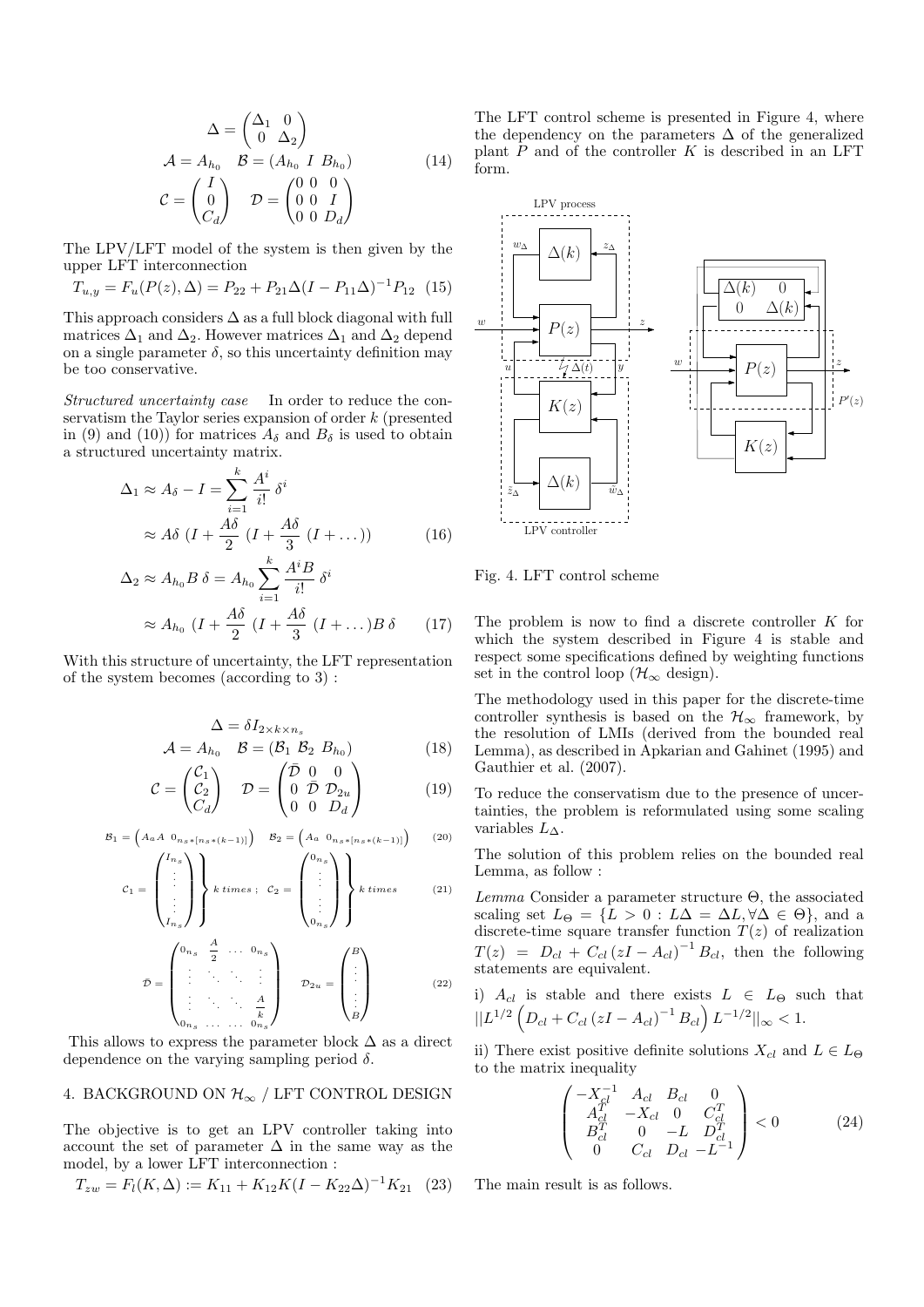$$
\Delta = \begin{pmatrix} \Delta_1 & 0 \\ 0 & \Delta_2 \end{pmatrix}
$$
  
\n
$$
\mathcal{A} = A_{h_0} \quad \mathcal{B} = (A_{h_0} \quad I \quad B_{h_0})
$$
  
\n
$$
\mathcal{C} = \begin{pmatrix} I \\ 0 \\ C_d \end{pmatrix} \quad \mathcal{D} = \begin{pmatrix} 0 & 0 & 0 \\ 0 & 0 & I \\ 0 & 0 & D_d \end{pmatrix}
$$
 (14)

The LPV/LFT model of the system is then given by the upper LFT interconnection

$$
T_{u,y} = F_u(P(z), \Delta) = P_{22} + P_{21}\Delta(I - P_{11}\Delta)^{-1}P_{12}
$$
 (15)

This approach considers  $\Delta$  as a full block diagonal with full matrices  $\Delta_1$  and  $\Delta_2$ . However matrices  $\Delta_1$  and  $\Delta_2$  depend on a single parameter  $\delta$ , so this uncertainty definition may be too conservative.

Structured uncertainty case In order to reduce the conservatism the Taylor series expansion of order k (presented in (9) and (10)) for matrices  $A_{\delta}$  and  $B_{\delta}$  is used to obtain a structured uncertainty matrix.

$$
\Delta_1 \approx A_\delta - I = \sum_{i=1}^k \frac{A^i}{i!} \delta^i
$$
  

$$
\approx A\delta \left( I + \frac{A\delta}{2} \left( I + \frac{A\delta}{3} \left( I + \dots \right) \right) \right)
$$
(16)

$$
\Delta_2 \approx A_{h_0} B \delta = A_{h_0} \sum_{i=1}^k \frac{A^i B}{i!} \delta^i
$$

$$
\approx A_{h_0} \left( I + \frac{A \delta}{2} \left( I + \frac{A \delta}{3} \left( I + \dots \right) B \delta \right) \right) \tag{17}
$$

With this structure of uncertainty, the LFT representation of the system becomes (according to 3) :

$$
\Delta = \delta I_{2 \times k \times n_s}
$$
  

$$
\mathcal{A} = A_{h_0} \quad \mathcal{B} = (\mathcal{B}_1 \; \mathcal{B}_2 \; B_{h_0})
$$
(18)

$$
\mathcal{C} = \begin{pmatrix} \mathcal{C}_1 \\ \mathcal{C}_2 \\ C_d \end{pmatrix} \quad \mathcal{D} = \begin{pmatrix} \bar{\mathcal{D}} & 0 & 0 \\ 0 & \bar{\mathcal{D}} & \mathcal{D}_{2u} \\ 0 & 0 & D_d \end{pmatrix} \tag{19}
$$

$$
\mathcal{B}_1 = \left(A_a A_{0_{n_s * [n_s * (k-1)]}}\right) \quad \mathcal{B}_2 = \left(A_a_{0_{n_s * [n_s * (k-1)]}}\right) \tag{20}
$$

$$
C_1 = \begin{pmatrix} I_{n_s} \\ \vdots \\ \vdots \\ I_{n_s} \end{pmatrix} k \, times \, ; \, C_2 = \begin{pmatrix} 0_{n_s} \\ \vdots \\ \vdots \\ 0_{n_s} \end{pmatrix} k \, times \qquad (21)
$$

$$
\bar{\mathcal{D}} = \begin{pmatrix}\n0_{n_s} & \frac{A}{2} & \dots & 0_{n_s} \\
\vdots & \ddots & \ddots & \vdots \\
\vdots & \ddots & \ddots & \frac{A}{k} \\
0_{n_s} & \dots & \dots & 0_{n_s}\n\end{pmatrix} \qquad \mathcal{D}_{2u} = \begin{pmatrix}\nB \\
\vdots \\
\vdots \\
B\n\end{pmatrix}
$$
\n(22)

This allows to express the parameter block  $\Delta$  as a direct dependence on the varying sampling period  $\delta$ .

## 4. BACKGROUND ON  $\mathcal{H}_{\infty}$  / LFT CONTROL DESIGN

The objective is to get an LPV controller taking into account the set of parameter  $\Delta$  in the same way as the model, by a lower LFT interconnection :

$$
T_{zw} = F_l(K, \Delta) := K_{11} + K_{12}K(I - K_{22}\Delta)^{-1}K_{21} \quad (23)
$$

The LFT control scheme is presented in Figure 4, where the dependency on the parameters  $\Delta$  of the generalized plant  $P$  and of the controller  $K$  is described in an LFT form.



Fig. 4. LFT control scheme

The problem is now to find a discrete controller K for which the system described in Figure 4 is stable and respect some specifications defined by weighting functions set in the control loop ( $\mathcal{H}_{\infty}$  design).

The methodology used in this paper for the discrete-time controller synthesis is based on the  $\mathcal{H}_{\infty}$  framework, by the resolution of LMIs (derived from the bounded real Lemma), as described in Apkarian and Gahinet (1995) and Gauthier et al. (2007).

To reduce the conservatism due to the presence of uncertainties, the problem is reformulated using some scaling variables  $L_{\Delta}$ .

The solution of this problem relies on the bounded real Lemma, as follow :

Lemma Consider a parameter structure  $\Theta$ , the associated scaling set  $L_{\Theta} = \{L > 0 : L\Delta = \Delta L, \forall \Delta \in \Theta\}$ , and a discrete-time square transfer function  $T(z)$  of realization  $T(z) = D_{cl} + C_{cl} (zI - A_{cl})^{-1} B_{cl}$ , then the following statements are equivalent.

i)  $A_{cl}$  is stable and there exists  $L \in L_{\Theta}$  such that  $||L^{1/2}\left(D_{cl}+C_{cl}\left(zI-A_{cl}\right)^{-1}B_{cl}\right)L^{-1/2}||_\infty < 1.$ 

ii) There exist positive definite solutions  $X_{cl}$  and  $L \in L_{\Theta}$ to the matrix inequality

$$
\begin{pmatrix}\n-X_{cl}^{-1} & A_{cl} & B_{cl} & 0 \\
A_{cl}^{T^l} & -X_{cl} & 0 & C_{cl}^T \\
B_{cl}^T & 0 & -L & D_{cl}^T \\
0 & C_{cl} & D_{cl} & -L^{-1}\n\end{pmatrix} < 0
$$
\n(24)

The main result is as follows.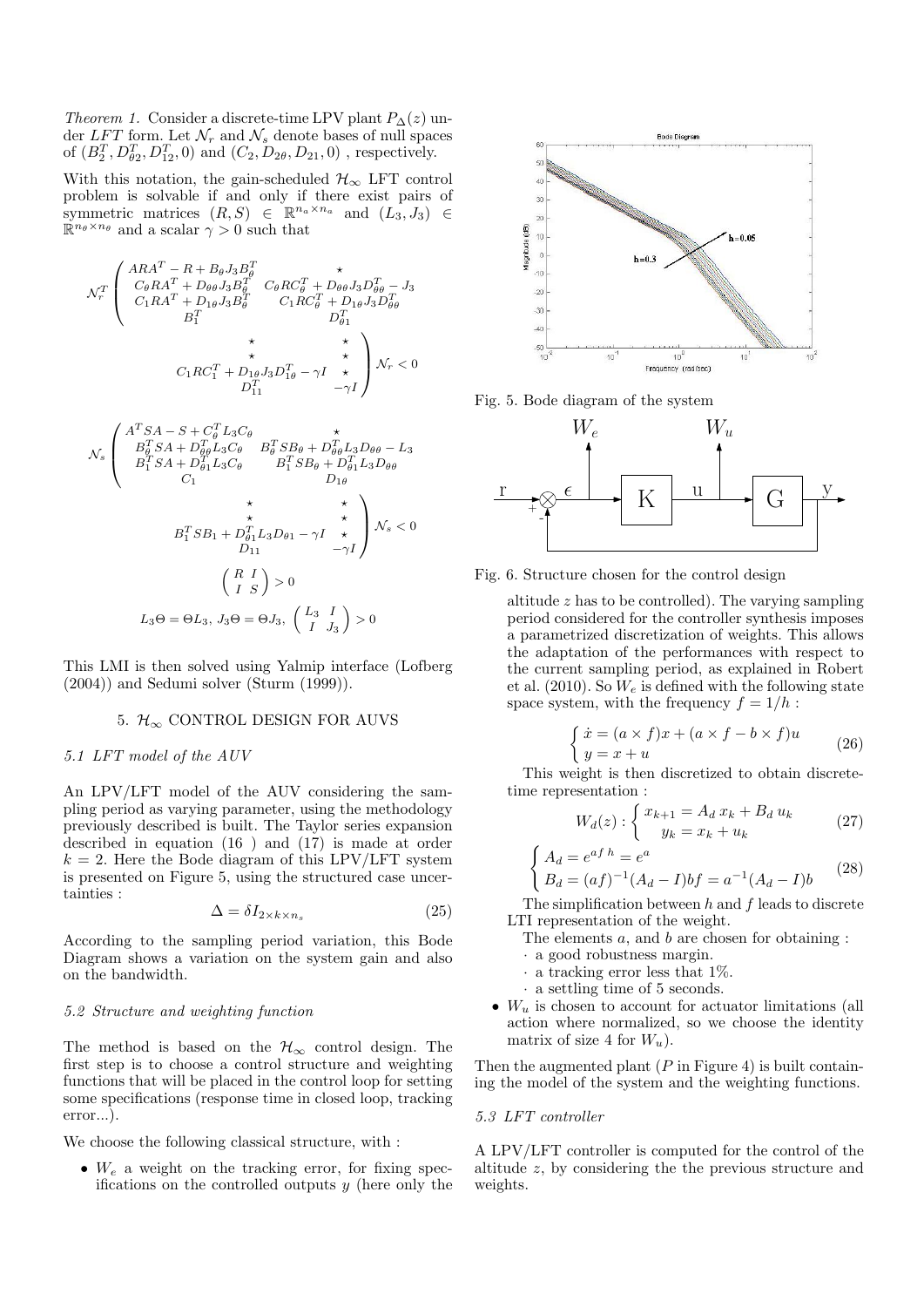Theorem 1. Consider a discrete-time LPV plant  $P_{\Delta}(z)$  under  $LFT$  form. Let  $\mathcal{N}_r$  and  $\mathcal{N}_s$  denote bases of null spaces of  $(B_2^T, D_{\theta 2}^T, D_{12}^T, 0)$  and  $(C_2, D_{2\theta}, D_{21}, 0)$ , respectively.

With this notation, the gain-scheduled  $\mathcal{H}_{\infty}$  LFT control problem is solvable if and only if there exist pairs of symmetric matrices  $(R, S) \in \mathbb{R}^{n_a \times n_a}$  and  $(L_3, J_3) \in \mathbb{R}^{n_a \times n_a}$  $\mathbb{R}^{n_{\theta} \times n_{\theta}}$  and a scalar  $\gamma > 0$  such that

$$
\mathcal{N}_r^T \left( \begin{array}{ccc} A R A^T - R + B_\theta J_3 B_\theta^T & \star \\ C_\theta R A^T + D_{\theta\theta} J_3 B_\theta^T & C_\theta R C_\theta^T + D_{\theta\theta} J_3 D_{\theta\theta}^T - J_3 \\ C_1 R A^T + D_{1\theta} J_3 B_\theta^T & C_1 R C_\theta^T + D_{1\theta} J_3 D_{\theta\theta}^T \\ B_1^T & \star & \star \\ C_1 R C_1^T + D_{1\theta} J_3 D_{1\theta}^T - \gamma I & \star \\ D_{11}^T & -\gamma I \end{array} \right) \mathcal{N}_r < 0
$$

$$
N_s \begin{pmatrix} A^T SA - S + C_\theta^T L_3 C_\theta & \star \\ B_\theta^T SA + D_{\theta\theta}^T L_3 C_\theta & B_\theta^T SB_\theta + D_{\theta\theta}^T L_3 D_{\theta\theta} - L_3 \\ B_1^T SA + D_{\theta1}^T L_3 C_\theta & B_1^T SB_\theta + D_{\theta1}^T L_3 D_{\theta\theta} \\ C_1 & D_1 \theta & \star \\ B_1^T SB_1 + D_{\theta1}^T L_3 D_{\theta1} - \gamma I & \star \\ D_{11} & -\gamma I \end{pmatrix} N_s < 0
$$
  

$$
\begin{pmatrix} R & I \\ I & S \end{pmatrix} > 0
$$
  

$$
L_3 \Theta = \Theta L_3, J_3 \Theta = \Theta J_3, \begin{pmatrix} L_3 & I \\ I & J_3 \end{pmatrix} > 0
$$

This LMI is then solved using Yalmip interface (Lofberg (2004)) and Sedumi solver (Sturm (1999)).

## 5.  $\mathcal{H}_{\infty}$  CONTROL DESIGN FOR AUVS

### 5.1 LFT model of the AUV

An LPV/LFT model of the AUV considering the sampling period as varying parameter, using the methodology previously described is built. The Taylor series expansion described in equation (16 ) and (17) is made at order  $k = 2$ . Here the Bode diagram of this LPV/LFT system is presented on Figure 5, using the structured case uncertainties :

$$
\Delta = \delta I_{2 \times k \times n_s} \tag{25}
$$

According to the sampling period variation, this Bode Diagram shows a variation on the system gain and also on the bandwidth.

#### 5.2 Structure and weighting function

The method is based on the  $\mathcal{H}_{\infty}$  control design. The first step is to choose a control structure and weighting functions that will be placed in the control loop for setting some specifications (response time in closed loop, tracking error...).

We choose the following classical structure, with :

•  $W_e$  a weight on the tracking error, for fixing specifications on the controlled outputs  $y$  (here only the



Fig. 5. Bode diagram of the system



Fig. 6. Structure chosen for the control design

altitude  $z$  has to be controlled). The varying sampling period considered for the controller synthesis imposes a parametrized discretization of weights. This allows the adaptation of the performances with respect to the current sampling period, as explained in Robert et al. (2010). So  $W_e$  is defined with the following state space system, with the frequency  $f = 1/h$ :

$$
\begin{cases} \n\dot{x} = (a \times f)x + (a \times f - b \times f)u \\
y = x + u\n\end{cases} \tag{26}
$$

This weight is then discretized to obtain discretetime representation :

$$
W_d(z) : \begin{cases} x_{k+1} = A_d \, x_k + B_d \, u_k \\ y_k = x_k + u_k \end{cases} \tag{27}
$$

$$
\begin{cases} A_d = e^{af \, h} = e^a \\ B_d = (af)^{-1} (A_d - I)bf = a^{-1} (A_d - I)b \end{cases} \tag{28}
$$

The simplification between  $h$  and  $f$  leads to discrete LTI representation of the weight.

- The elements  $a$ , and  $b$  are chosen for obtaining :
- · a good robustness margin.
- $\cdot$  a tracking error less that 1%.
- · a settling time of 5 seconds.
- $W_u$  is chosen to account for actuator limitations (all action where normalized, so we choose the identity matrix of size 4 for  $W_u$ ).

Then the augmented plant  $(P \text{ in Figure 4})$  is built containing the model of the system and the weighting functions.

#### 5.3 LFT controller

A LPV/LFT controller is computed for the control of the altitude z, by considering the the previous structure and weights.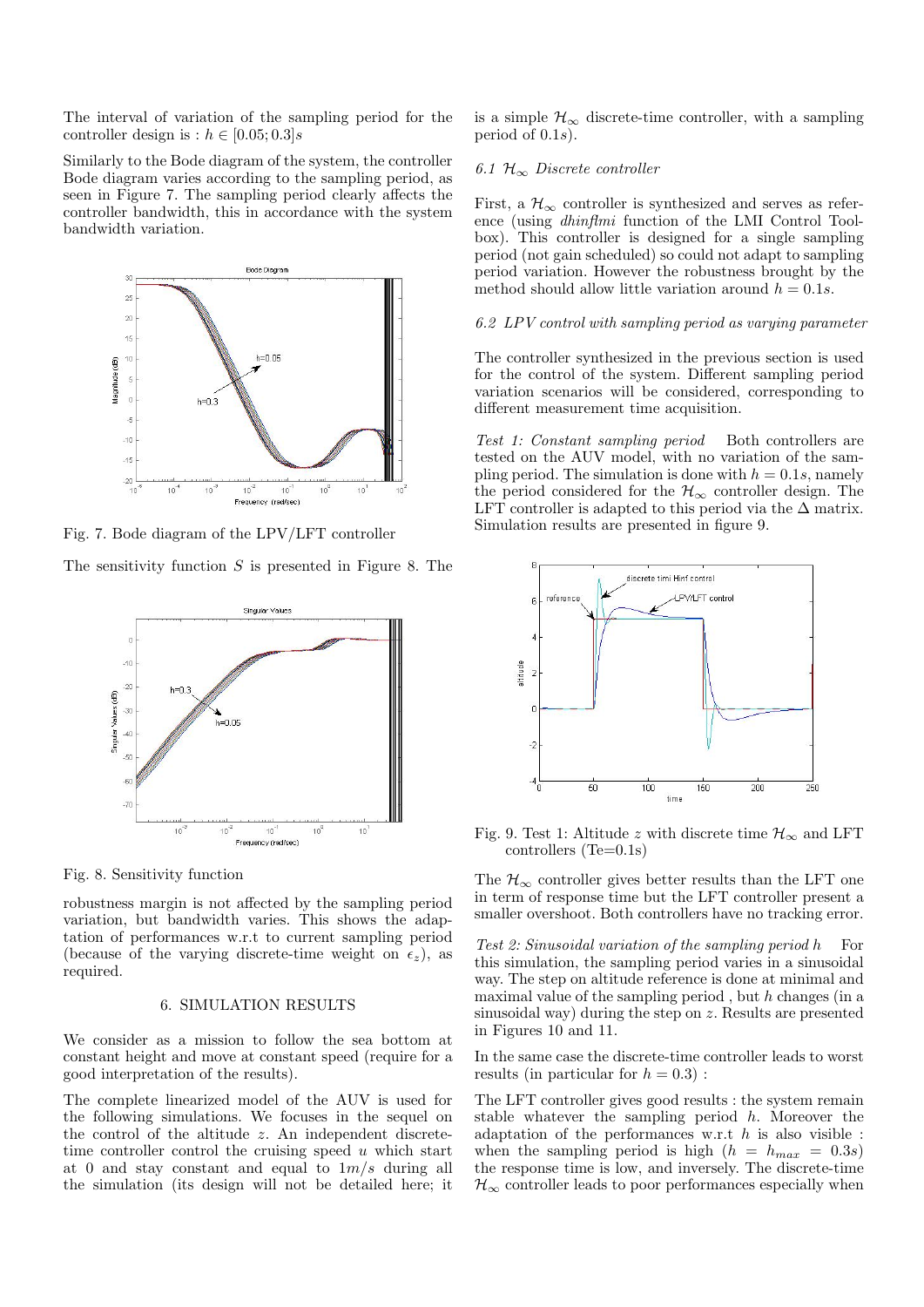The interval of variation of the sampling period for the controller design is :  $h \in [0.05; 0.3]$ s

Similarly to the Bode diagram of the system, the controller Bode diagram varies according to the sampling period, as seen in Figure 7. The sampling period clearly affects the controller bandwidth, this in accordance with the system bandwidth variation.



Fig. 7. Bode diagram of the LPV/LFT controller

The sensitivity function  $S$  is presented in Figure 8. The



Fig. 8. Sensitivity function

robustness margin is not affected by the sampling period variation, but bandwidth varies. This shows the adaptation of performances w.r.t to current sampling period (because of the varying discrete-time weight on  $\epsilon_z$ ), as required.

## 6. SIMULATION RESULTS

We consider as a mission to follow the sea bottom at constant height and move at constant speed (require for a good interpretation of the results).

The complete linearized model of the AUV is used for the following simulations. We focuses in the sequel on the control of the altitude z. An independent discretetime controller control the cruising speed  $u$  which start at 0 and stay constant and equal to  $1m/s$  during all the simulation (its design will not be detailed here; it is a simple  $\mathcal{H}_{\infty}$  discrete-time controller, with a sampling period of  $(0.1s)$ .

## 6.1  $\mathcal{H}_{\infty}$  Discrete controller

First, a  $\mathcal{H}_{\infty}$  controller is synthesized and serves as reference (using dhinflmi function of the LMI Control Toolbox). This controller is designed for a single sampling period (not gain scheduled) so could not adapt to sampling period variation. However the robustness brought by the method should allow little variation around  $h = 0.1s$ .

### 6.2 LPV control with sampling period as varying parameter

The controller synthesized in the previous section is used for the control of the system. Different sampling period variation scenarios will be considered, corresponding to different measurement time acquisition.

Test 1: Constant sampling period Both controllers are tested on the AUV model, with no variation of the sampling period. The simulation is done with  $h = 0.1s$ , namely the period considered for the  $\mathcal{H}_{\infty}$  controller design. The LFT controller is adapted to this period via the  $\Delta$  matrix. Simulation results are presented in figure 9.



Fig. 9. Test 1: Altitude z with discrete time  $\mathcal{H}_{\infty}$  and LFT controllers (Te=0.1s)

The  $\mathcal{H}_{\infty}$  controller gives better results than the LFT one in term of response time but the LFT controller present a smaller overshoot. Both controllers have no tracking error.

Test 2: Sinusoidal variation of the sampling period  $h$  For this simulation, the sampling period varies in a sinusoidal way. The step on altitude reference is done at minimal and maximal value of the sampling period, but  $h$  changes (in a sinusoidal way) during the step on z. Results are presented in Figures 10 and 11.

In the same case the discrete-time controller leads to worst results (in particular for  $h = 0.3$ ) :

The LFT controller gives good results : the system remain stable whatever the sampling period h. Moreover the adaptation of the performances w.r.t  $h$  is also visible : when the sampling period is high  $(h = h_{max} = 0.3s)$ the response time is low, and inversely. The discrete-time  $\mathcal{H}_{\infty}$  controller leads to poor performances especially when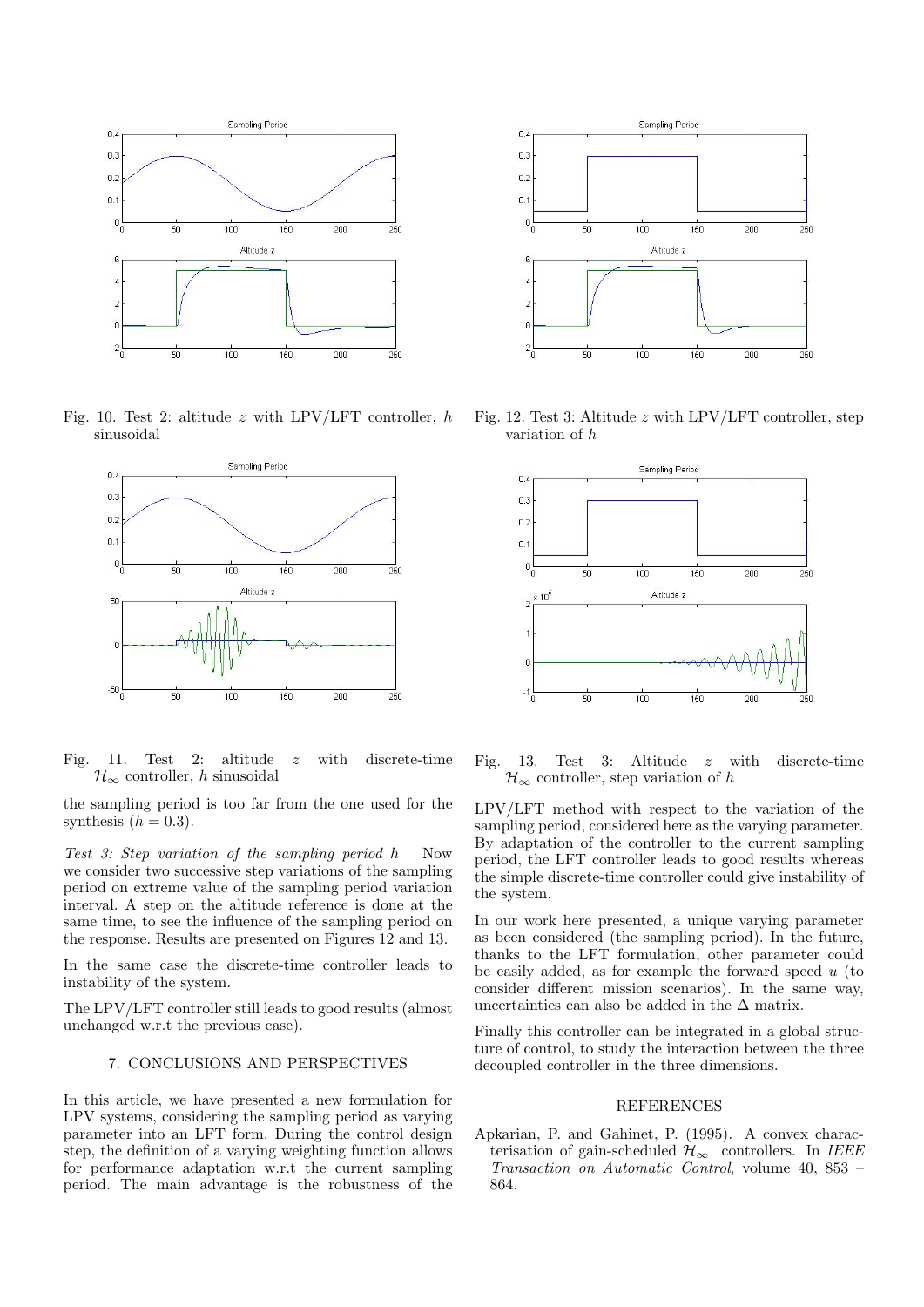

Fig. 10. Test 2: altitude z with LPV/LFT controller,  $h$ sinusoidal



Fig. 11. Test 2: altitude z with discrete-time  $\mathcal{H}_{\infty}$  controller, h sinusoidal

the sampling period is too far from the one used for the synthesis  $(h = 0.3)$ .

Test 3: Step variation of the sampling period h Now we consider two successive step variations of the sampling period on extreme value of the sampling period variation interval. A step on the altitude reference is done at the same time, to see the influence of the sampling period on the response. Results are presented on Figures 12 and 13.

In the same case the discrete-time controller leads to instability of the system.

The LPV/LFT controller still leads to good results (almost unchanged w.r.t the previous case).

### 7. CONCLUSIONS AND PERSPECTIVES

In this article, we have presented a new formulation for LPV systems, considering the sampling period as varying parameter into an LFT form. During the control design step, the definition of a varying weighting function allows for performance adaptation w.r.t the current sampling period. The main advantage is the robustness of the



Fig. 12. Test 3: Altitude z with LPV/LFT controller, step variation of h



Fig. 13. Test 3: Altitude z with discrete-time  $\mathcal{H}_{\infty}$  controller, step variation of h

LPV/LFT method with respect to the variation of the sampling period, considered here as the varying parameter. By adaptation of the controller to the current sampling period, the LFT controller leads to good results whereas the simple discrete-time controller could give instability of the system.

In our work here presented, a unique varying parameter as been considered (the sampling period). In the future, thanks to the LFT formulation, other parameter could be easily added, as for example the forward speed  $u$  (to consider different mission scenarios). In the same way, uncertainties can also be added in the  $\Delta$  matrix.

Finally this controller can be integrated in a global structure of control, to study the interaction between the three decoupled controller in the three dimensions.

#### REFERENCES

Apkarian, P. and Gahinet, P. (1995). A convex characterisation of gain-scheduled  $\mathcal{H}_{\infty}$  controllers. In IEEE Transaction on Automatic Control, volume 40, 853 – 864.